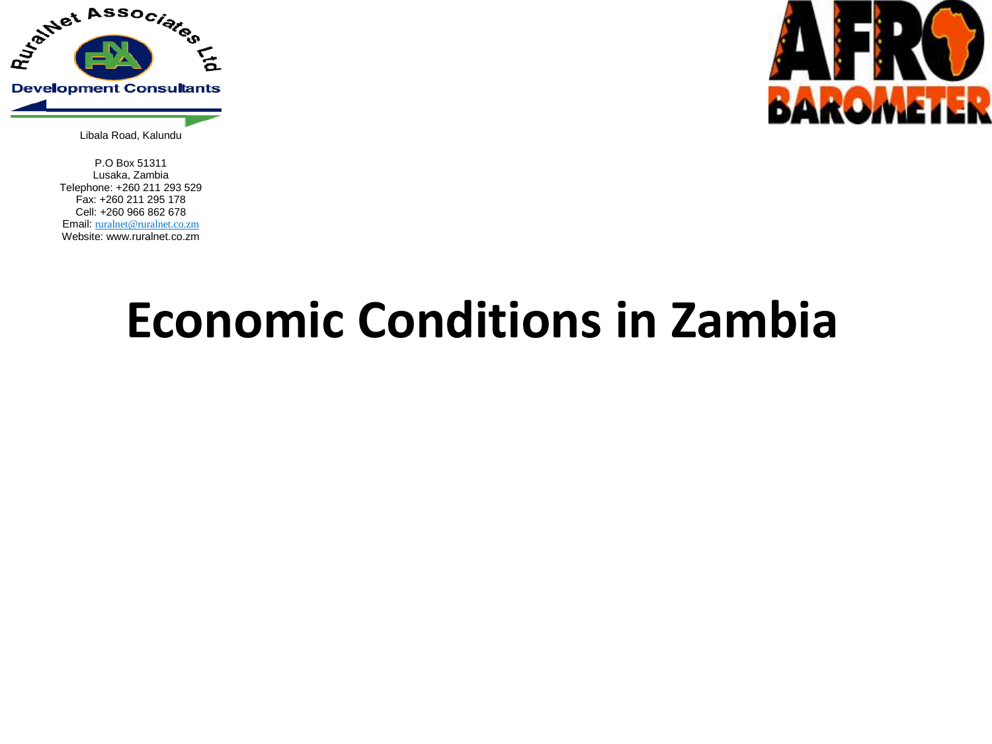



Libala Road, Kalundu

P.O Box 51311 Lusaka, Zambia Telephone: +260 211 293 529 Fax: +260 211 295 178 Cell: +260 966 862 678 Email: ruralnet@ruralnet.co.zm Website: www.ruralnet.co.zm

# **Economic Conditions in Zambia**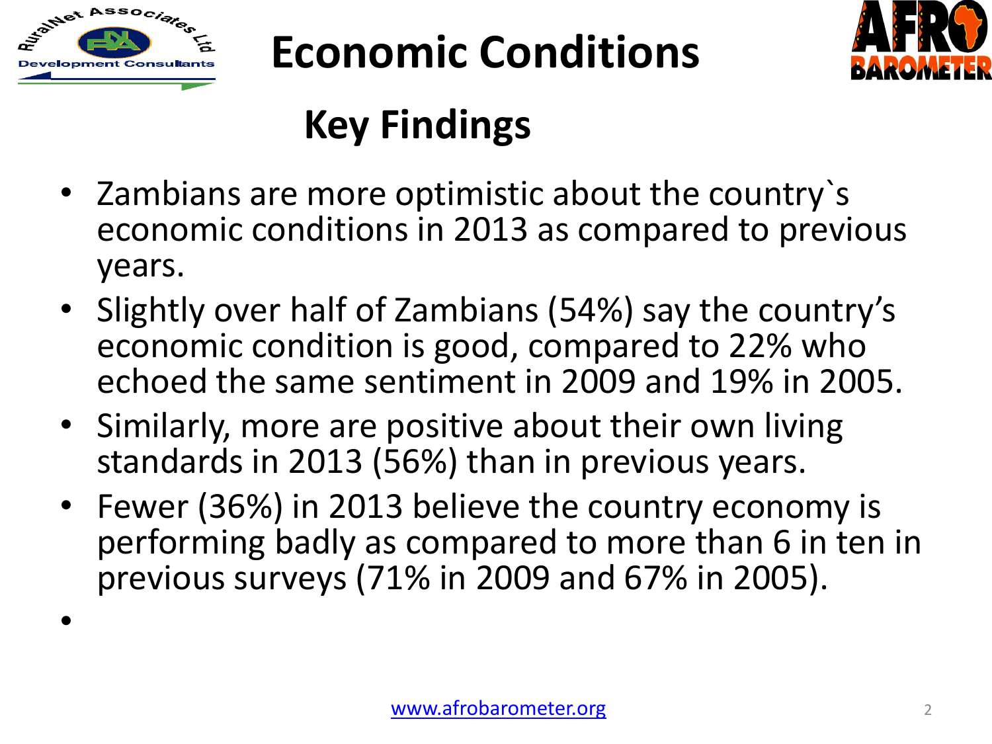

•

# **Economic Conditions**



### **Key Findings**

- Zambians are more optimistic about the country`s economic conditions in 2013 as compared to previous years.
- Slightly over half of Zambians (54%) say the country's economic condition is good, compared to 22% who echoed the same sentiment in 2009 and 19% in 2005.
- Similarly, more are positive about their own living standards in 2013 (56%) than in previous years.
- Fewer (36%) in 2013 believe the country economy is performing badly as compared to more than 6 in ten in previous surveys (71% in 2009 and 67% in 2005).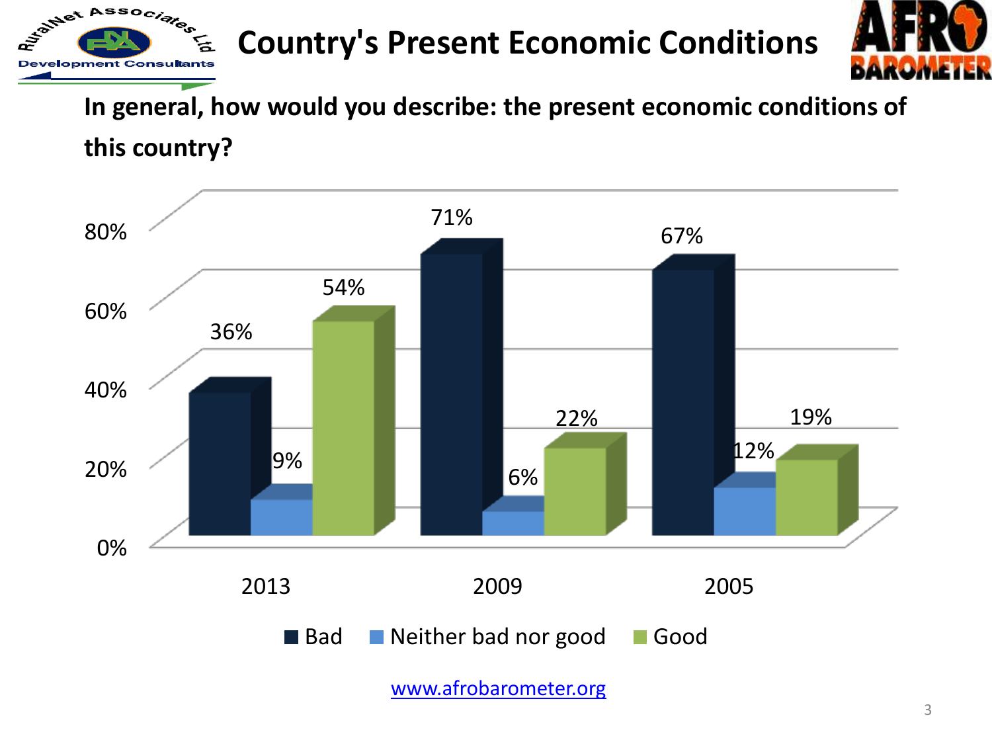#### **Country's Present Economic Conditions**



**In general, how would you describe: the present economic conditions of** 

**this country?** 

Associated

**Development Consu** 

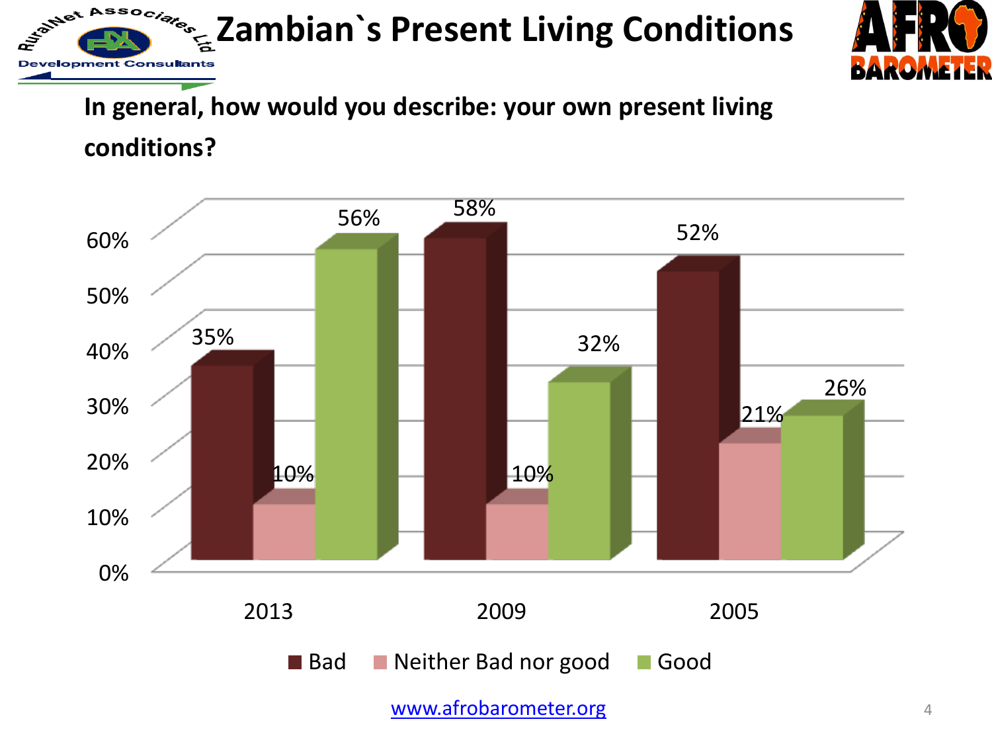**Zambian**'s Present Living Conditions



#### **In general, how would you describe: your own present living**

**conditions?**

**Development Const** 

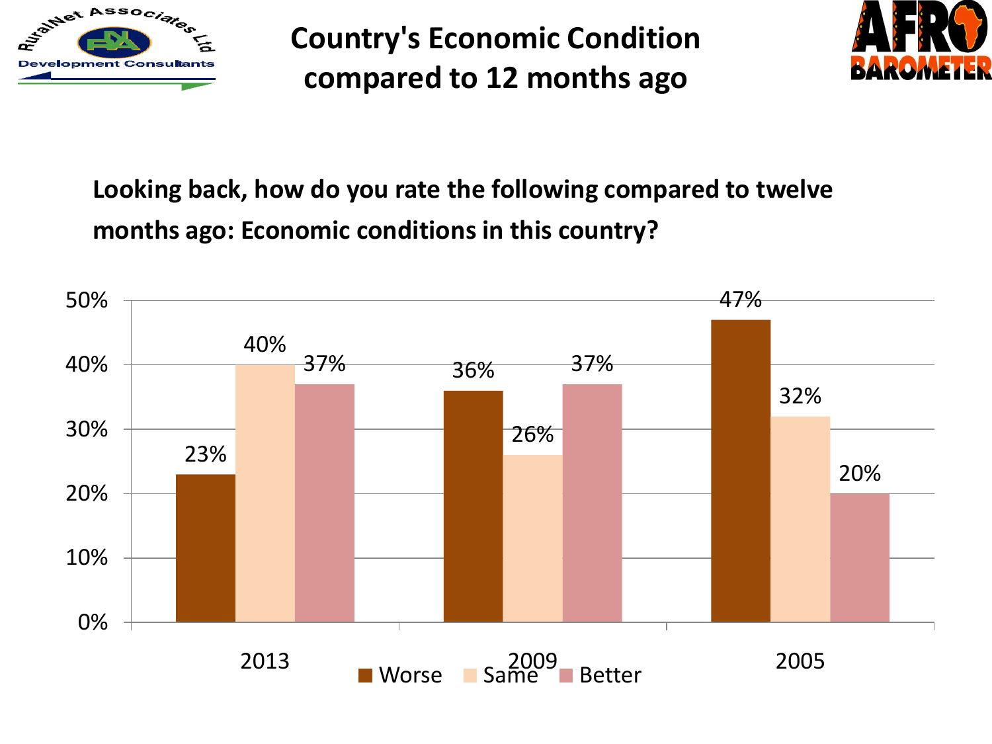

**Country's Economic Condition compared to 12 months ago**



#### **Looking back, how do you rate the following compared to twelve months ago: Economic conditions in this country?**

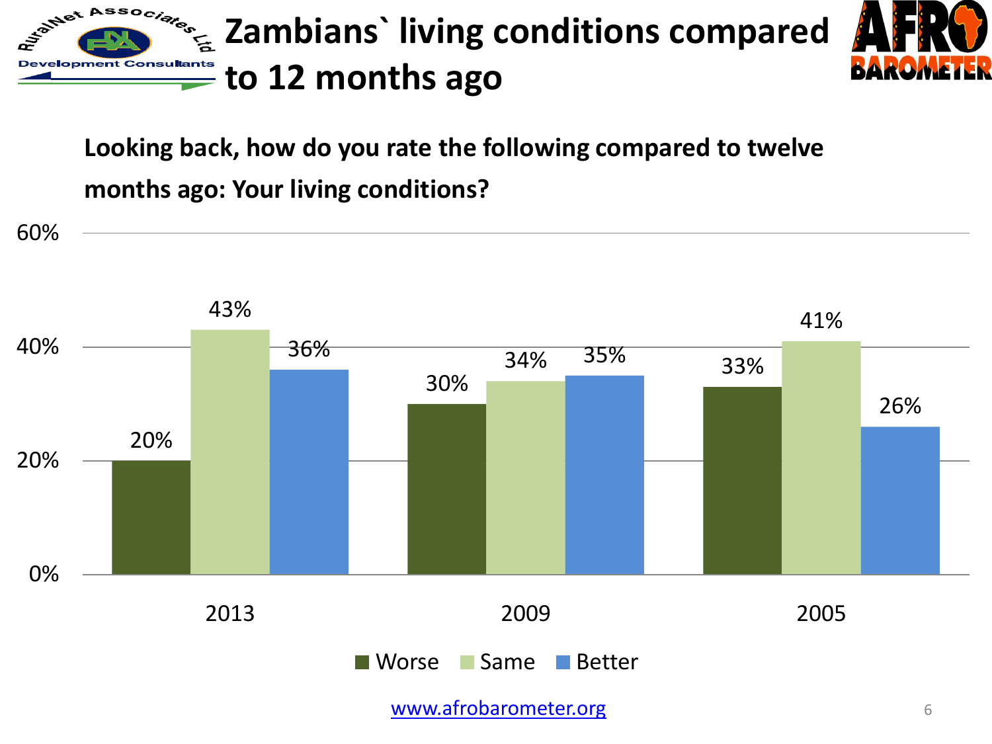

**Looking back, how do you rate the following compared to twelve months ago: Your living conditions?**

20% 30% 33% 43% 34% 41% 36% 35% 26% 0% 20% 40% 60% 2013 2009 2005 Worse Same Better

[www.afrobarometer.org](http://www.afrobarometer.org/) 6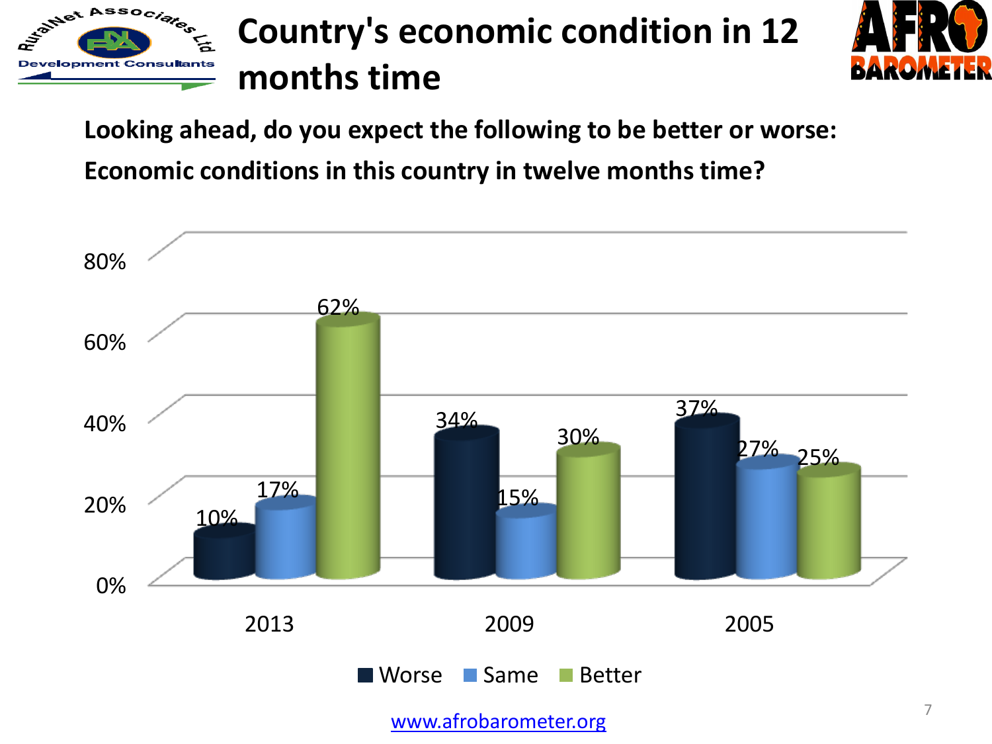





**Looking ahead, do you expect the following to be better or worse:** 

**Economic conditions in this country in twelve months time?**

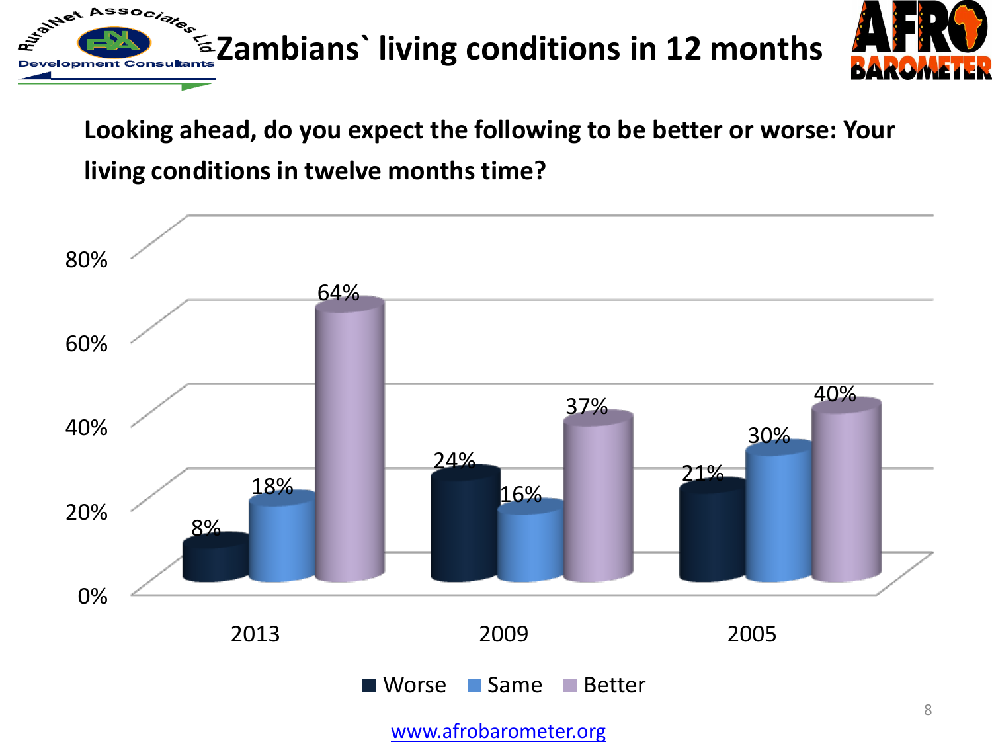

#### **Looking ahead, do you expect the following to be better or worse: Your living conditions in twelve months time?**



[www.afrobarometer.org](http://www.afrobarometer.org/)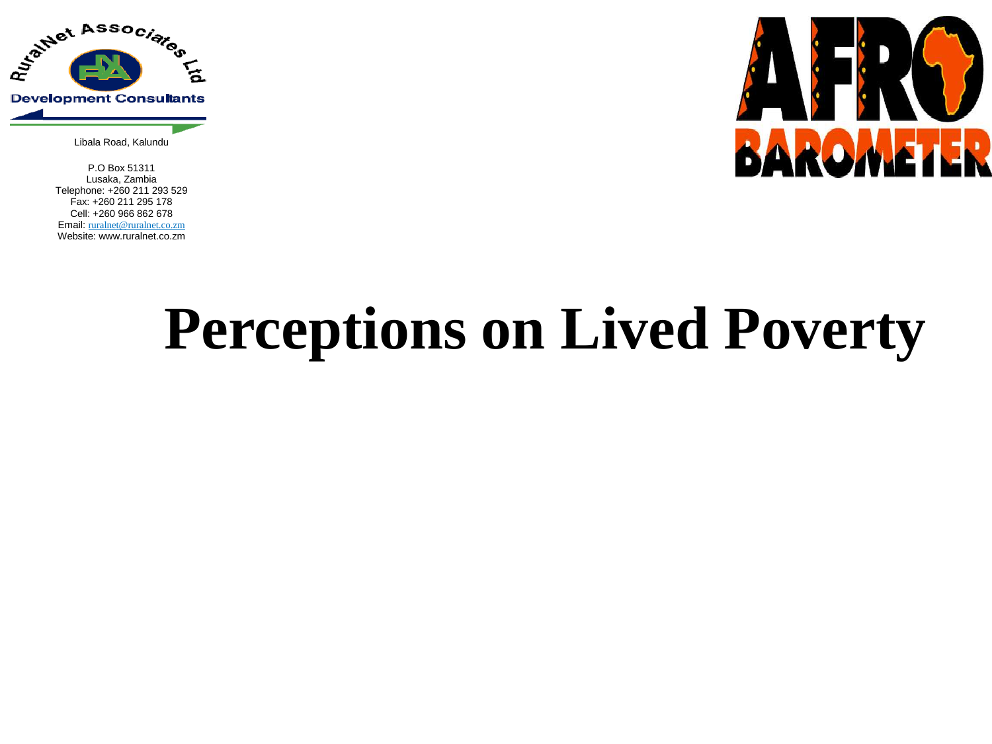

Libala Road, Kalundu

P.O Box 51311 Lusaka, Zambia Telephone: +260 211 293 529 Fax: +260 211 295 178 Cell: +260 966 862 678 Email: ruralnet@ruralnet.co.zm Website: www.ruralnet.co.zm



# **Perceptions on Lived Poverty**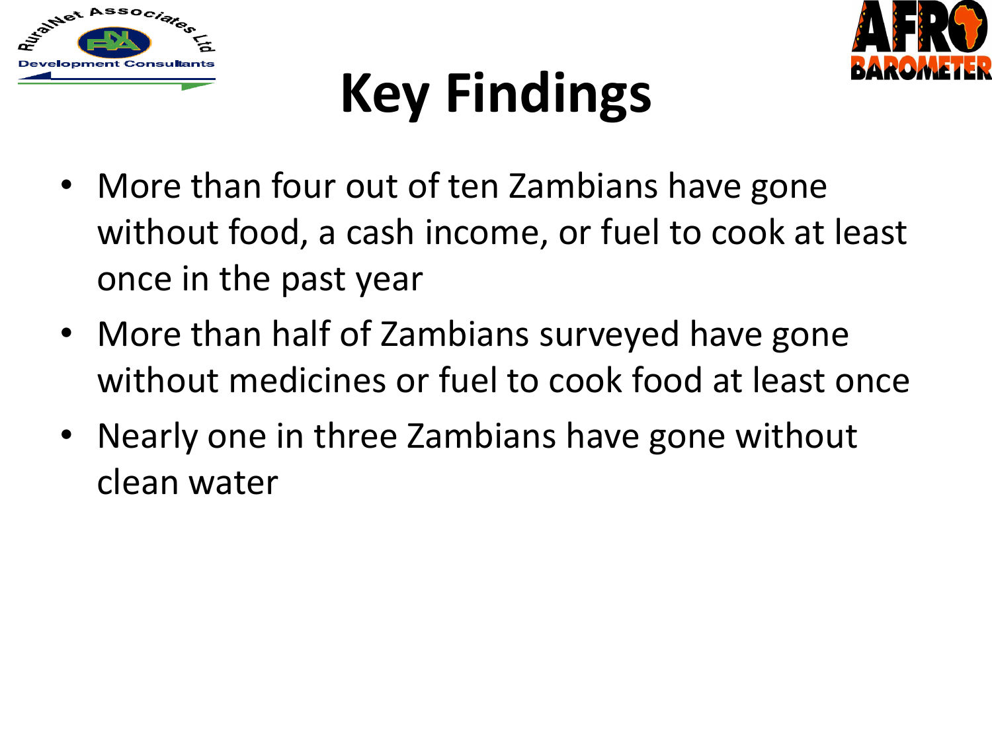



# **Key Findings**

- More than four out of ten Zambians have gone without food, a cash income, or fuel to cook at least once in the past year
- More than half of Zambians surveyed have gone without medicines or fuel to cook food at least once
- Nearly one in three Zambians have gone without clean water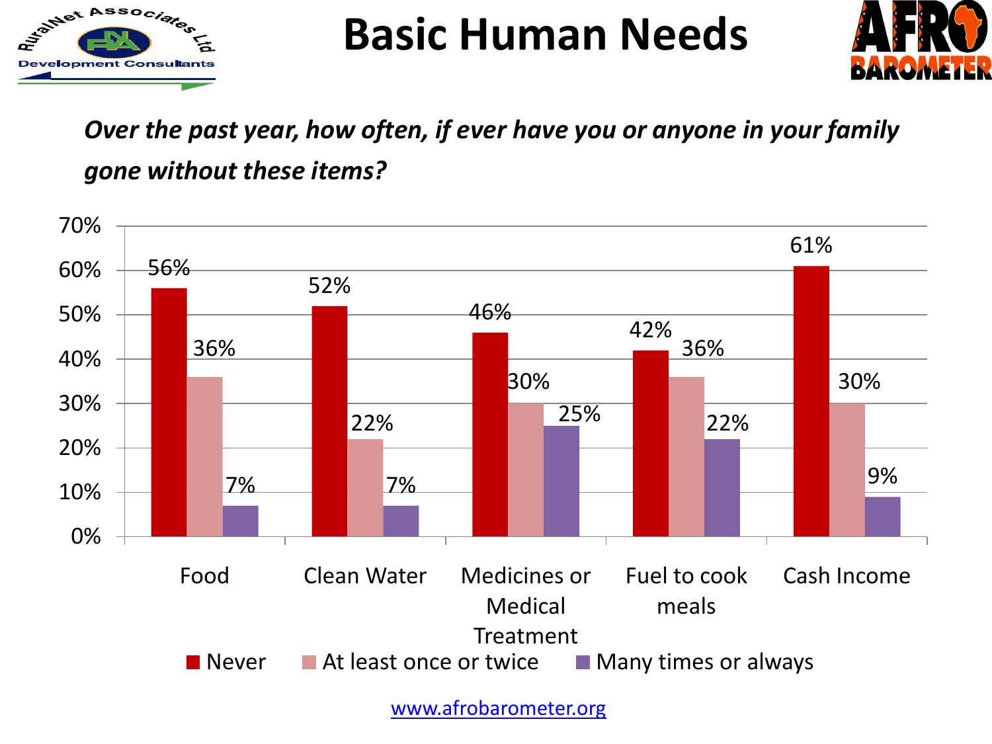

**Basic Human Needs**



#### *Over the past year, how often, if ever have you or anyone in your family gone without these items?*

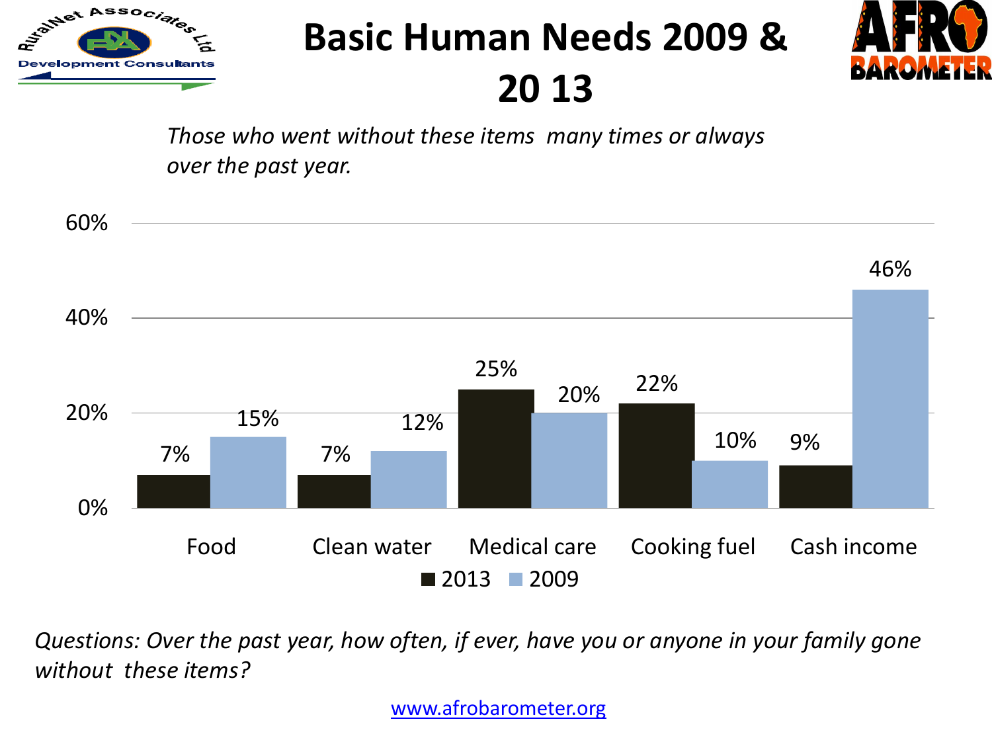

### **Basic Human Needs 2009 &**

**20 13** 



*Those who went without these items many times or always over the past year.*



*Questions: Over the past year, how often, if ever, have you or anyone in your family gone without these items?* 

[www.afrobarometer.org](http://www.afrobarometer.org/)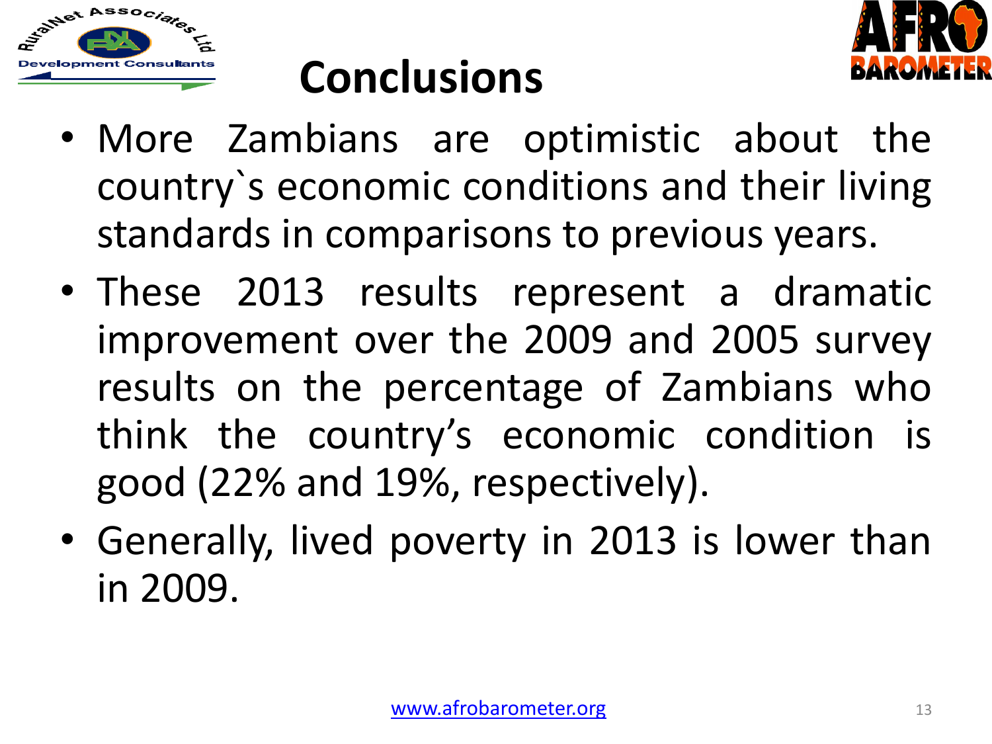



## **Conclusions**

- More Zambians are optimistic about the country`s economic conditions and their living standards in comparisons to previous years.
- These 2013 results represent a dramatic improvement over the 2009 and 2005 survey results on the percentage of Zambians who think the country's economic condition is good (22% and 19%, respectively).
- Generally, lived poverty in 2013 is lower than in 2009.